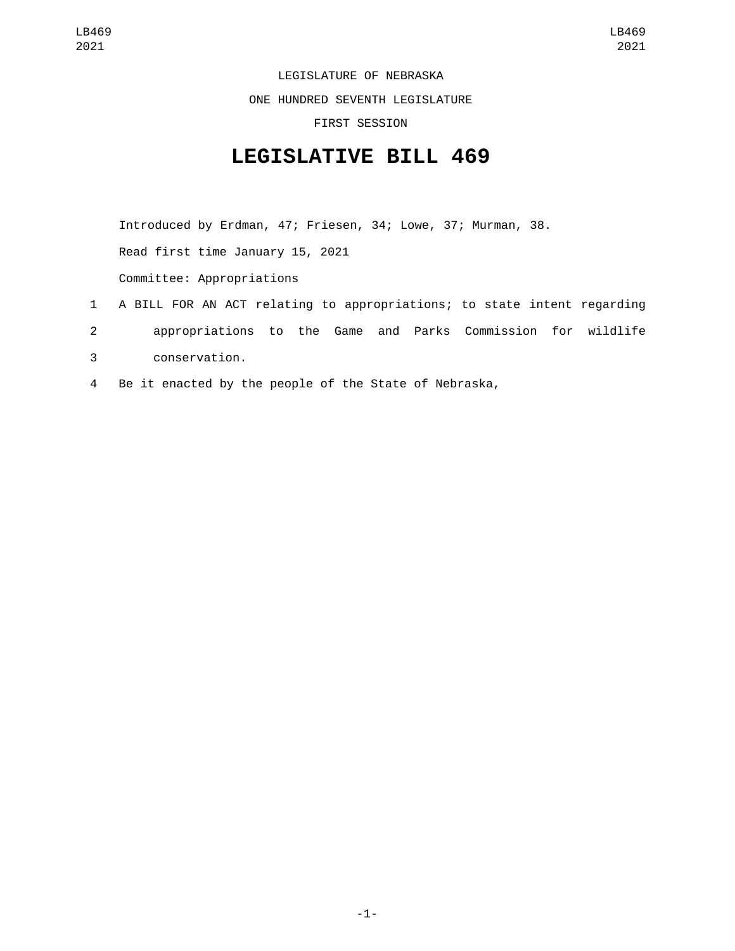LEGISLATURE OF NEBRASKA

ONE HUNDRED SEVENTH LEGISLATURE

FIRST SESSION

## **LEGISLATIVE BILL 469**

Introduced by Erdman, 47; Friesen, 34; Lowe, 37; Murman, 38. Read first time January 15, 2021 Committee: Appropriations

- 1 A BILL FOR AN ACT relating to appropriations; to state intent regarding 2 appropriations to the Game and Parks Commission for wildlife conservation.3
- 4 Be it enacted by the people of the State of Nebraska,